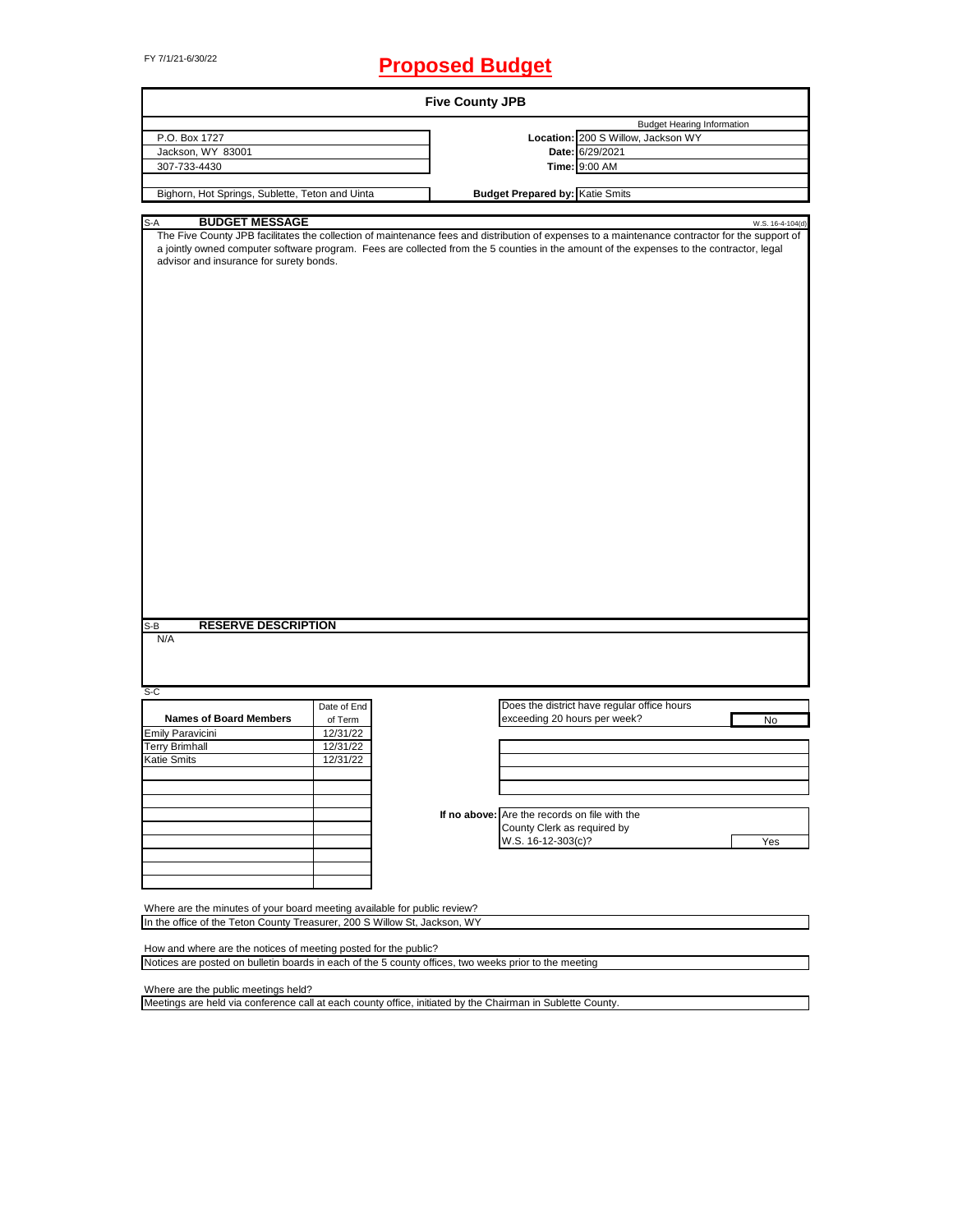# FY 7/1/21-6/30/22 **Proposed Budget**

| <b>Five County JPB</b>                                                                                                                                                                                                                                                                                                                |             |  |                                               |                                             |                  |
|---------------------------------------------------------------------------------------------------------------------------------------------------------------------------------------------------------------------------------------------------------------------------------------------------------------------------------------|-------------|--|-----------------------------------------------|---------------------------------------------|------------------|
|                                                                                                                                                                                                                                                                                                                                       |             |  |                                               | <b>Budget Hearing Information</b>           |                  |
| P.O. Box 1727                                                                                                                                                                                                                                                                                                                         |             |  |                                               | Location: 200 S Willow, Jackson WY          |                  |
| Jackson, WY 83001                                                                                                                                                                                                                                                                                                                     |             |  |                                               | Date: 6/29/2021                             |                  |
| 307-733-4430                                                                                                                                                                                                                                                                                                                          |             |  |                                               | Time: 9:00 AM                               |                  |
|                                                                                                                                                                                                                                                                                                                                       |             |  |                                               |                                             |                  |
| Bighorn, Hot Springs, Sublette, Teton and Uinta                                                                                                                                                                                                                                                                                       |             |  | <b>Budget Prepared by: Katie Smits</b>        |                                             |                  |
| <b>BUDGET MESSAGE</b><br>S-A                                                                                                                                                                                                                                                                                                          |             |  |                                               |                                             | W.S. 16-4-104(d) |
| The Five County JPB facilitates the collection of maintenance fees and distribution of expenses to a maintenance contractor for the support of<br>a jointly owned computer software program. Fees are collected from the 5 counties in the amount of the expenses to the contractor, legal<br>advisor and insurance for surety bonds. |             |  |                                               |                                             |                  |
| <b>RESERVE DESCRIPTION</b><br>S-B<br>N/A                                                                                                                                                                                                                                                                                              |             |  |                                               |                                             |                  |
| S-C                                                                                                                                                                                                                                                                                                                                   |             |  |                                               |                                             |                  |
|                                                                                                                                                                                                                                                                                                                                       | Date of End |  |                                               | Does the district have regular office hours |                  |
| <b>Names of Board Members</b>                                                                                                                                                                                                                                                                                                         | of Term     |  | exceeding 20 hours per week?                  |                                             | No               |
| Emily Paravicini                                                                                                                                                                                                                                                                                                                      | 12/31/22    |  |                                               |                                             |                  |
| <b>Terry Brimhall</b>                                                                                                                                                                                                                                                                                                                 | 12/31/22    |  |                                               |                                             |                  |
| Katie Smits                                                                                                                                                                                                                                                                                                                           | 12/31/22    |  |                                               |                                             |                  |
|                                                                                                                                                                                                                                                                                                                                       |             |  |                                               |                                             |                  |
|                                                                                                                                                                                                                                                                                                                                       |             |  |                                               |                                             |                  |
|                                                                                                                                                                                                                                                                                                                                       |             |  |                                               |                                             |                  |
|                                                                                                                                                                                                                                                                                                                                       |             |  | If no above: Are the records on file with the |                                             |                  |
|                                                                                                                                                                                                                                                                                                                                       |             |  | County Clerk as required by                   |                                             |                  |
|                                                                                                                                                                                                                                                                                                                                       |             |  | W.S. 16-12-303(c)?                            |                                             | Yes              |
|                                                                                                                                                                                                                                                                                                                                       |             |  |                                               |                                             |                  |
|                                                                                                                                                                                                                                                                                                                                       |             |  |                                               |                                             |                  |
|                                                                                                                                                                                                                                                                                                                                       |             |  |                                               |                                             |                  |
|                                                                                                                                                                                                                                                                                                                                       |             |  |                                               |                                             |                  |
| Where are the minutes of your board meeting available for public review?                                                                                                                                                                                                                                                              |             |  |                                               |                                             |                  |
| In the office of the Teton County Treasurer, 200 S Willow St, Jackson, WY                                                                                                                                                                                                                                                             |             |  |                                               |                                             |                  |
|                                                                                                                                                                                                                                                                                                                                       |             |  |                                               |                                             |                  |
| How and where are the notices of meeting posted for the public?                                                                                                                                                                                                                                                                       |             |  |                                               |                                             |                  |
| Notices are posted on bulletin boards in each of the 5 county offices, two weeks prior to the meeting                                                                                                                                                                                                                                 |             |  |                                               |                                             |                  |
|                                                                                                                                                                                                                                                                                                                                       |             |  |                                               |                                             |                  |

Where are the public meetings held?

Meetings are held via conference call at each county office, initiated by the Chairman in Sublette County.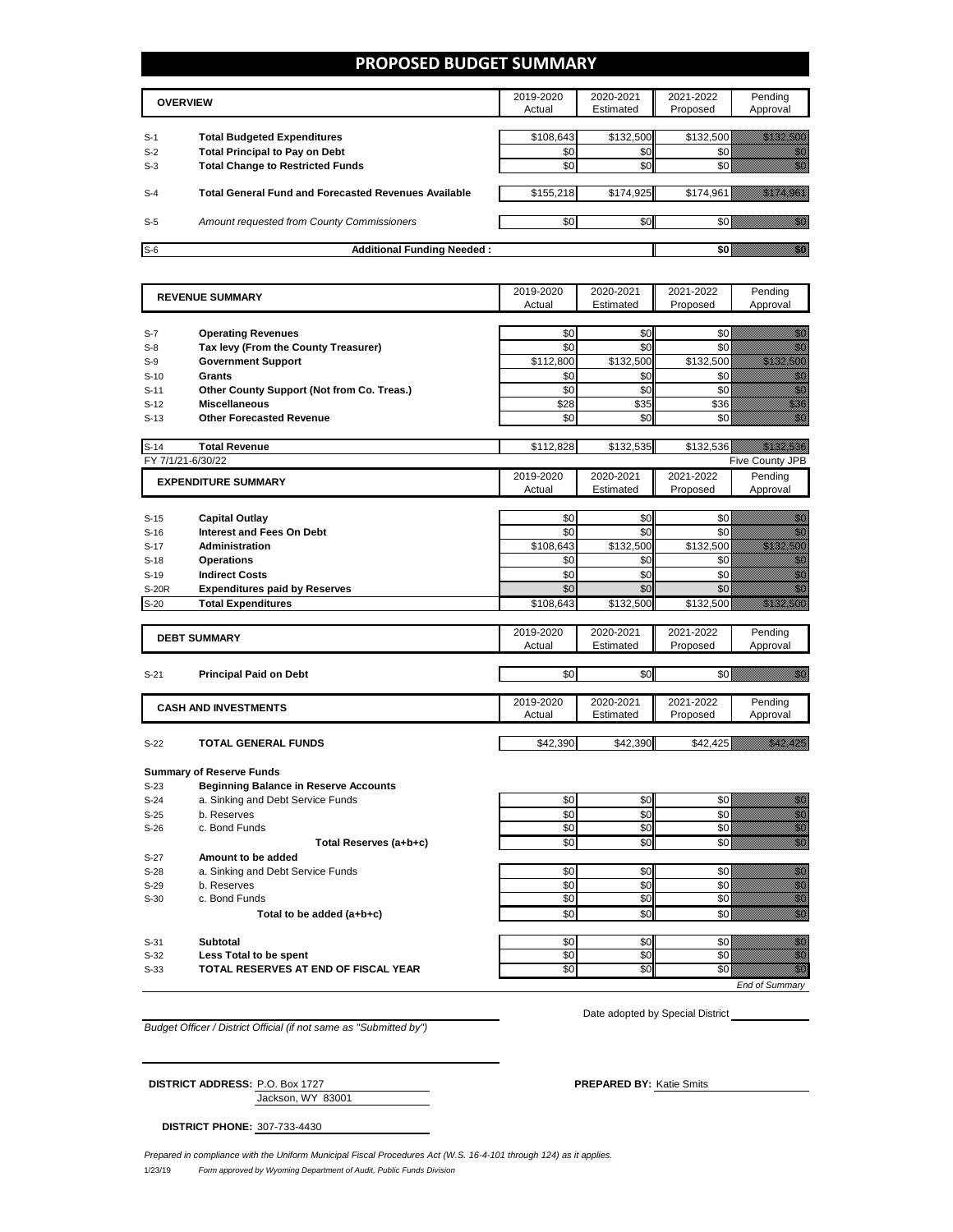## **PROPOSED BUDGET SUMMARY**

|       | <b>OVERVIEW</b>                                             |           | 2020-2021<br>Estimated | 2021-2022<br>Proposed | Pending<br>Approval |
|-------|-------------------------------------------------------------|-----------|------------------------|-----------------------|---------------------|
| $S-1$ | <b>Total Budgeted Expenditures</b>                          | \$108.643 | \$132,500              | \$132,500             |                     |
| $S-2$ | <b>Total Principal to Pay on Debt</b>                       | \$0       | \$0                    |                       |                     |
| $S-3$ | <b>Total Change to Restricted Funds</b>                     | \$0       | \$0                    |                       |                     |
|       |                                                             |           |                        |                       |                     |
| $S-4$ | <b>Total General Fund and Forecasted Revenues Available</b> | \$155,218 | \$174,925              | \$174,961             |                     |
|       |                                                             |           |                        |                       |                     |
| $S-5$ | Amount requested from County Commissioners                  | \$0       | \$0                    |                       |                     |
| $S-6$ | <b>Additional Funding Needed:</b>                           |           |                        |                       |                     |

|                  | <b>REVENUE SUMMARY</b>                                         |            | 2020-2021  | 2021-2022       | Pending                                                                                                                                                                                                                              |
|------------------|----------------------------------------------------------------|------------|------------|-----------------|--------------------------------------------------------------------------------------------------------------------------------------------------------------------------------------------------------------------------------------|
|                  |                                                                | Actual     | Estimated  | Proposed        | Approval                                                                                                                                                                                                                             |
|                  |                                                                |            |            |                 |                                                                                                                                                                                                                                      |
| $S-7$            | <b>Operating Revenues</b>                                      | \$0        | \$0        | \$0             | en de la familie de la familie de la familie de la familie de la familie de la familie de la familie de la fam<br>De la familie de la familie de la familie de la familie de la familie de la familie de la familie de la famili     |
| $S-8$            | Tax levy (From the County Treasurer)                           | \$0        | \$0        | \$0             | en de la familie de la familie de la familie de la familie de la familie de la familie de la familie de la fam<br>Estat de la familie de la familie de la familie de la familie de la familie de la familie de la familie de la      |
| $S-9$            | <b>Government Support</b>                                      | \$112,800  | \$132,500  | \$132,500       | <u> Karlina Sara</u>                                                                                                                                                                                                                 |
| $S-10$           | Grants                                                         | \$0        | \$0        | \$0             | enni<br>Maria                                                                                                                                                                                                                        |
| $S-11$           | Other County Support (Not from Co. Treas.)                     | \$0        | \$0        | \$0             | en de la familie de la familie de la familie de la familie de la familie de la familie de la familie de la fam<br>Constituit de la familie de la familie de la familie de la familie de la familie de la familie de la familie d     |
| $S-12$           | <b>Miscellaneous</b>                                           | \$28       | \$35       | \$36            | en en de former de la former de la former de la former de la former de la former de la former de la former de<br>En del de la former de la former de la former de la former de la former de la former de la former de la forme<br>En |
| $S-13$           | <b>Other Forecasted Revenue</b>                                | \$0        | \$0        | \$0             | en de la filosofia<br>Monte de la filosofia                                                                                                                                                                                          |
|                  |                                                                |            |            |                 |                                                                                                                                                                                                                                      |
| $S-14$           | <b>Total Revenue</b>                                           | \$112,828  | \$132,535  | \$132,536       | <u> Hillian Sa</u>                                                                                                                                                                                                                   |
|                  | FY 7/1/21-6/30/22                                              |            |            |                 | Five County JPB                                                                                                                                                                                                                      |
|                  | <b>EXPENDITURE SUMMARY</b>                                     | 2019-2020  | 2020-2021  | 2021-2022       | Pending                                                                                                                                                                                                                              |
|                  |                                                                | Actual     | Estimated  | Proposed        | Approval                                                                                                                                                                                                                             |
|                  |                                                                |            |            |                 |                                                                                                                                                                                                                                      |
| $S-15$           | <b>Capital Outlay</b>                                          | \$0        | \$0        | \$0             | en de la familie de la familie de la familie de la familie de la familie de la familie de la familie de la fa<br>Constitution de la familie de la familie de la familie de la familie de la familie de la familie de la familie      |
| $S-16$           | <b>Interest and Fees On Debt</b>                               | \$0        | \$0        | \$0             | en de la filosofia<br>Altres de la filòlogía                                                                                                                                                                                         |
| $S-17$           | <b>Administration</b>                                          | \$108,643  | \$132,500  | \$132,500       | <u> Maria Maria I</u>                                                                                                                                                                                                                |
| $S-18$           | <b>Operations</b>                                              | \$0        | \$0        | \$0             | en de la format de la format de la format de la format de la format de la format de la format de la format de<br>Constituir de la format de la format de la format de la format de la format de la format de la format de la fo      |
| $S-19$           | <b>Indirect Costs</b>                                          | \$0        | \$0        | \$0             | en de la familie de la familie de la familie de la familie de la familie de la familie de la familie de la fam<br>Construction de la familie de la familie de la familie de la familie de la familie de la familie de la familie     |
| <b>S-20R</b>     | <b>Expenditures paid by Reserves</b>                           | \$0        | \$0        | \$0             | en de la familie de la familie de la familie de la familie de la familie de la familie de la familie de la fam<br>Nota de la familie de la familie de la familie de la familie de la familie de la familie de la familie de la       |
| $S-20$           | <b>Total Expenditures</b>                                      | \$108,643  | \$132,500  | \$132,500       | <u> Maria Maria C</u>                                                                                                                                                                                                                |
|                  |                                                                |            |            |                 |                                                                                                                                                                                                                                      |
|                  | <b>DEBT SUMMARY</b>                                            | 2019-2020  | 2020-2021  | 2021-2022       | Pending                                                                                                                                                                                                                              |
|                  |                                                                | Actual     | Estimated  | Proposed        | Approval                                                                                                                                                                                                                             |
|                  |                                                                |            |            |                 |                                                                                                                                                                                                                                      |
| $S-21$           | <b>Principal Paid on Debt</b>                                  | \$0        | \$0        | \$0             | en de la familie de la familie de la familie de la familie de la familie de la familie de la familie de la fam<br>Establece de la familie de la familie de la familie de la familie de la familie de la familie de la familie de     |
|                  |                                                                | 2019-2020  | 2020-2021  | 2021-2022       |                                                                                                                                                                                                                                      |
|                  | <b>CASH AND INVESTMENTS</b>                                    | Actual     | Estimated  | Proposed        | Pending<br>Approval                                                                                                                                                                                                                  |
|                  |                                                                |            |            |                 |                                                                                                                                                                                                                                      |
| $S-22$           | <b>TOTAL GENERAL FUNDS</b>                                     | \$42.390   | \$42.390   | \$42.425        | <u>tik alaman k</u>                                                                                                                                                                                                                  |
|                  |                                                                |            |            |                 |                                                                                                                                                                                                                                      |
|                  | <b>Summary of Reserve Funds</b>                                |            |            |                 |                                                                                                                                                                                                                                      |
| $S-23$           | <b>Beginning Balance in Reserve Accounts</b>                   |            |            |                 |                                                                                                                                                                                                                                      |
| $S-24$           | a. Sinking and Debt Service Funds                              | \$0        | \$0        | \$0             |                                                                                                                                                                                                                                      |
| $S-25$           | b. Reserves                                                    | \$0        | \$0        | \$0             | e de la composición de la composición de la composición de la composición de la composición de la composición<br>Composición                                                                                                         |
| $S-26$           | c. Bond Funds                                                  | \$0        | \$0        | \$0             |                                                                                                                                                                                                                                      |
|                  | Total Reserves (a+b+c)                                         | \$0        | \$0        | \$0             | en de la filo<br>Maria de la filòla del control de la filòla de la filòla de la filòla de la filòla de la filòla<br>Maria de la filòla de la filòla de la filòla de la filòla de la filòla de la filòla de la filòla de la filòla    |
| $S-27$           | Amount to be added                                             |            |            |                 |                                                                                                                                                                                                                                      |
|                  |                                                                | \$0        |            | \$0             | enne<br>Gallia                                                                                                                                                                                                                       |
| $S-28$           | a. Sinking and Debt Service Funds<br>b. Reserves               | \$0        | \$0        |                 |                                                                                                                                                                                                                                      |
| $S-29$           | c. Bond Funds                                                  | \$0        | \$0<br>\$0 | \$0<br>\$0      | e de la composición de la composición de la composición de la composición de la composición de la composición<br>Campo de la composición de la composición de la composición de la composición de la composición de la composic      |
| $S-30$           |                                                                |            |            |                 |                                                                                                                                                                                                                                      |
|                  | Total to be added (a+b+c)                                      | \$0        | \$0        | \$0             | en de la filosofia<br>Altres de la filòlogía                                                                                                                                                                                         |
|                  |                                                                |            |            |                 |                                                                                                                                                                                                                                      |
| $S-31$<br>$S-32$ | Subtotal                                                       | \$0<br>\$0 | \$0<br>\$0 | \$0<br>\$0      | e de la provincia de la provincia de la provincia de la provincia de la provincia de la provincia de la provin<br>Constituit de la provincia de la provincia de la provincia de la provincia de la provincia de la provincia de      |
|                  | Less Total to be spent<br>TOTAL RESERVES AT END OF FISCAL YEAR | \$0        | \$0        | $\overline{50}$ | en de la filòla de la filòla de la filòla de la filòla de la filòla de la filòla de la filòla de la filòla de<br>Califòrnia                                                                                                          |
| $S-33$           |                                                                |            |            |                 |                                                                                                                                                                                                                                      |
|                  |                                                                |            |            |                 | <b>End of Summarv</b>                                                                                                                                                                                                                |

*Budget Officer / District Official (if not same as "Submitted by")*

| <b>DISTRICT ADDRESS: P.O. Box 1727</b> |                   | <b>PREPARED BY: Katie Smits</b> |
|----------------------------------------|-------------------|---------------------------------|
|                                        | Jackson, WY 83001 |                                 |

**DISTRICT PHONE:** 307-733-4430

1/23/19 *Form approved by Wyoming Department of Audit, Public Funds Division Prepared in compliance with the Uniform Municipal Fiscal Procedures Act (W.S. 16-4-101 through 124) as it applies.*

Date adopted by Special District \_\_\_\_\_\_\_\_\_\_\_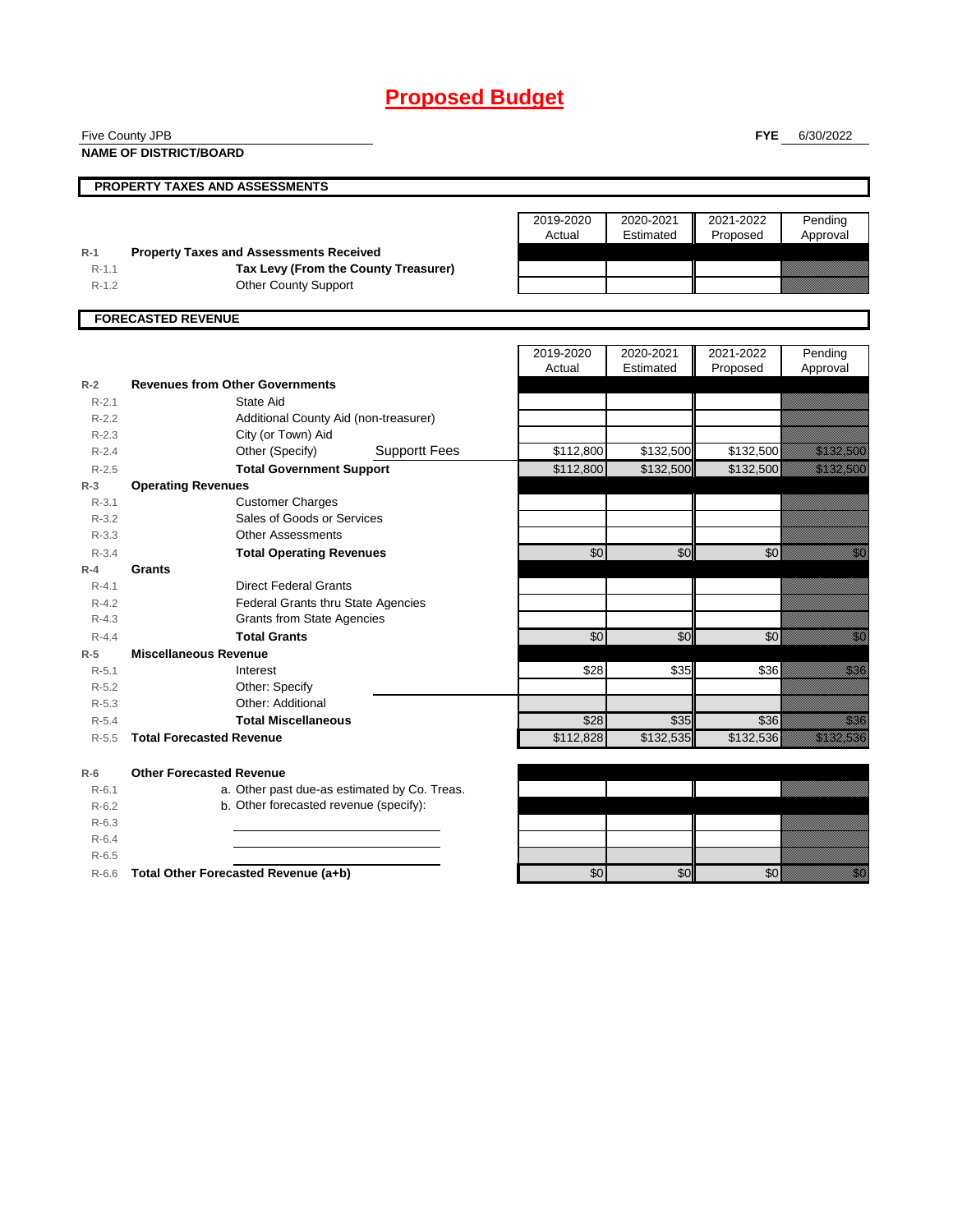# **Proposed Budget**

| Five County JPB<br><b>FYE</b> |                                                                     |                     |                        | 6/30/2022             |                                                                                                                                                                                                                                  |  |
|-------------------------------|---------------------------------------------------------------------|---------------------|------------------------|-----------------------|----------------------------------------------------------------------------------------------------------------------------------------------------------------------------------------------------------------------------------|--|
|                               | <b>NAME OF DISTRICT/BOARD</b>                                       |                     |                        |                       |                                                                                                                                                                                                                                  |  |
|                               | <b>PROPERTY TAXES AND ASSESSMENTS</b>                               |                     |                        |                       |                                                                                                                                                                                                                                  |  |
|                               |                                                                     |                     |                        |                       |                                                                                                                                                                                                                                  |  |
|                               |                                                                     | 2019-2020           | 2020-2021              | 2021-2022             | Pending                                                                                                                                                                                                                          |  |
|                               |                                                                     | Actual              | Estimated              | Proposed              | Approval                                                                                                                                                                                                                         |  |
| $R-1$                         | <b>Property Taxes and Assessments Received</b>                      |                     |                        |                       |                                                                                                                                                                                                                                  |  |
| $R-1.1$<br>$R-1.2$            | Tax Levy (From the County Treasurer)<br><b>Other County Support</b> |                     |                        |                       |                                                                                                                                                                                                                                  |  |
|                               |                                                                     |                     |                        |                       |                                                                                                                                                                                                                                  |  |
|                               | <b>FORECASTED REVENUE</b>                                           |                     |                        |                       |                                                                                                                                                                                                                                  |  |
|                               |                                                                     |                     |                        |                       |                                                                                                                                                                                                                                  |  |
|                               |                                                                     | 2019-2020<br>Actual | 2020-2021<br>Estimated | 2021-2022<br>Proposed | Pending<br>Approval                                                                                                                                                                                                              |  |
| $R-2$                         | <b>Revenues from Other Governments</b>                              |                     |                        |                       |                                                                                                                                                                                                                                  |  |
| $R - 2.1$                     | State Aid                                                           |                     |                        |                       |                                                                                                                                                                                                                                  |  |
| $R-2.2$                       | Additional County Aid (non-treasurer)                               |                     |                        |                       |                                                                                                                                                                                                                                  |  |
| $R - 2.3$                     | City (or Town) Aid                                                  |                     |                        |                       |                                                                                                                                                                                                                                  |  |
| $R - 2.4$                     | Other (Specify)<br><b>Supportt Fees</b>                             | \$112,800           | \$132,500              | \$132,500             | <u> Hallandin Sa</u>                                                                                                                                                                                                             |  |
| $R - 2.5$                     | <b>Total Government Support</b>                                     | \$112,800           | \$132,500              | \$132,500             | <u>tik alaman da</u>                                                                                                                                                                                                             |  |
| $R-3$                         | <b>Operating Revenues</b>                                           |                     |                        |                       |                                                                                                                                                                                                                                  |  |
| $R - 3.1$                     | <b>Customer Charges</b>                                             |                     |                        |                       |                                                                                                                                                                                                                                  |  |
| $R - 3.2$                     | Sales of Goods or Services                                          |                     |                        |                       |                                                                                                                                                                                                                                  |  |
| $R - 3.3$                     | <b>Other Assessments</b>                                            |                     |                        |                       |                                                                                                                                                                                                                                  |  |
| $R - 3.4$                     | <b>Total Operating Revenues</b>                                     | \$0                 | \$0                    | \$0                   | <u>tik d</u>                                                                                                                                                                                                                     |  |
| $R-4$                         | Grants                                                              |                     |                        |                       |                                                                                                                                                                                                                                  |  |
| $R - 4.1$                     | <b>Direct Federal Grants</b>                                        |                     |                        |                       |                                                                                                                                                                                                                                  |  |
| $R - 4.2$                     | <b>Federal Grants thru State Agencies</b>                           |                     |                        |                       |                                                                                                                                                                                                                                  |  |
| $R - 4.3$                     | <b>Grants from State Agencies</b>                                   |                     |                        |                       |                                                                                                                                                                                                                                  |  |
| $R - 4.4$                     | <b>Total Grants</b>                                                 | \$0                 | \$0                    | \$0                   | en de la familie de la familie de la familie de la familie de la familie de la familie de la familie de la fa<br>Constitution de la familie de la familie de la familie de la familie de la familie de la familie de la familie  |  |
| $R-5$<br>$R-5.1$              | <b>Miscellaneous Revenue</b>                                        | \$28                | \$35                   | \$36                  | en de la forma de la forma de la forma de la forma de la forma de la forma de la forma de la forma de la forma<br>Específica de la forma de la forma de la forma de la forma de la forma de la forma de la forma de la forma de  |  |
| $R-5.2$                       | Interest<br>Other: Specify                                          |                     |                        |                       |                                                                                                                                                                                                                                  |  |
| $R - 5.3$                     | Other: Additional                                                   |                     |                        |                       |                                                                                                                                                                                                                                  |  |
| $R - 5.4$                     | <b>Total Miscellaneous</b>                                          | \$28                | \$35                   | \$36                  | <u>tional</u>                                                                                                                                                                                                                    |  |
| $R-5.5$                       | <b>Total Forecasted Revenue</b>                                     | \$112,828           | \$132,535              | \$132,536             | <u>Tilling och startet är en starte och starte är en starte och starte är en starte och starte är en starte och </u>                                                                                                             |  |
|                               |                                                                     |                     |                        |                       |                                                                                                                                                                                                                                  |  |
| $R-6$                         | <b>Other Forecasted Revenue</b>                                     |                     |                        |                       |                                                                                                                                                                                                                                  |  |
| $R-6.1$                       | a. Other past due-as estimated by Co. Treas.                        |                     |                        |                       |                                                                                                                                                                                                                                  |  |
| $R-6.2$                       | b. Other forecasted revenue (specify):                              |                     |                        |                       |                                                                                                                                                                                                                                  |  |
| $R-6.3$                       |                                                                     |                     |                        |                       |                                                                                                                                                                                                                                  |  |
| $R-6.4$                       |                                                                     |                     |                        |                       |                                                                                                                                                                                                                                  |  |
| $R-6.5$                       |                                                                     |                     |                        |                       |                                                                                                                                                                                                                                  |  |
| $R-6.6$                       | Total Other Forecasted Revenue (a+b)                                | \$0                 | \$0                    | \$0                   | en de la falsa de la falsa de la falsa de la falsa de la falsa de la falsa de la falsa de la falsa de la falsa<br>En la falsa de la falsa de la falsa de la falsa de la falsa de la falsa de la falsa de la falsa de la falsa de |  |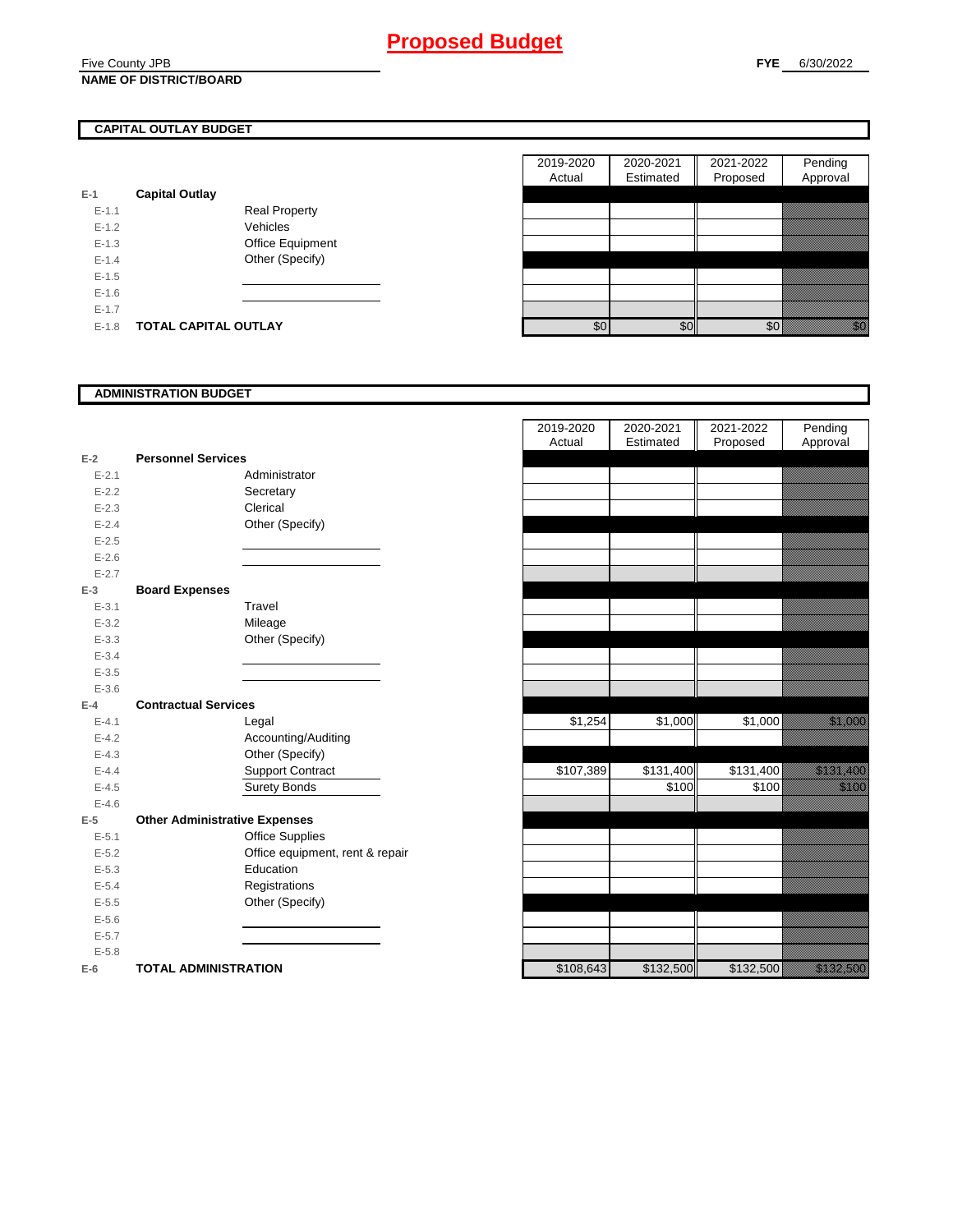#### Five County JPB **NAME OF DISTRICT/BOARD**

## **CAPITAL OUTLAY BUDGET**

| E-1       | <b>Capital Outlay</b> |                         |
|-----------|-----------------------|-------------------------|
| $E - 1.1$ |                       | <b>Real Property</b>    |
| $F-12$    |                       | Vehicles                |
| $E - 1.3$ |                       | <b>Office Equipment</b> |
| $F-14$    |                       | Other (Specify)         |
| $F-1.5$   |                       |                         |
| $E - 1.6$ |                       |                         |
| $E - 1.7$ |                       |                         |
| $E-1.8$   | TOTAL CAPITAL OUTLAY  |                         |

|           |                             |                      | 2019-2020 | 2020-2021 | 2021-2022 | Pending                                                                                                                                                                                                                         |
|-----------|-----------------------------|----------------------|-----------|-----------|-----------|---------------------------------------------------------------------------------------------------------------------------------------------------------------------------------------------------------------------------------|
|           |                             |                      | Actual    | Estimated | Proposed  | Approval                                                                                                                                                                                                                        |
|           | <b>Capital Outlay</b>       |                      |           |           |           |                                                                                                                                                                                                                                 |
| $E - 1.1$ |                             | <b>Real Property</b> |           |           |           |                                                                                                                                                                                                                                 |
| $E-1.2$   |                             | Vehicles             |           |           |           |                                                                                                                                                                                                                                 |
| $E-1.3$   |                             | Office Equipment     |           |           |           |                                                                                                                                                                                                                                 |
| $E - 1.4$ |                             | Other (Specify)      |           |           |           |                                                                                                                                                                                                                                 |
| $E-1.5$   |                             |                      |           |           |           |                                                                                                                                                                                                                                 |
| $E-1.6$   |                             |                      |           |           |           |                                                                                                                                                                                                                                 |
| $E - 1.7$ |                             |                      |           |           |           |                                                                                                                                                                                                                                 |
| $E-1.8$   | <b>TOTAL CAPITAL OUTLAY</b> |                      | \$0       | \$0       | \$0       | en en de la familie de la familie de la familie de la familie de la familie de la familie de la familie de la<br>Constitution de la familie de la familie de la familie de la familie de la familie de la familie de la familie |

#### **ADMINISTRATION BUDGET**

| $E-2$     | <b>Personnel Services</b>            |                                 |
|-----------|--------------------------------------|---------------------------------|
| $E - 2.1$ |                                      | Administrator                   |
| $E - 2.2$ |                                      | Secretary                       |
| $E - 2.3$ |                                      | Clerical                        |
| $E - 2.4$ |                                      | Other (Specify)                 |
| $E - 2.5$ |                                      |                                 |
| $E - 2.6$ |                                      |                                 |
| $E - 2.7$ |                                      |                                 |
| $E-3$     | <b>Board Expenses</b>                |                                 |
| $E - 3.1$ |                                      | Travel                          |
| $E - 3.2$ |                                      | Mileage                         |
| $E - 3.3$ |                                      | Other (Specify)                 |
| $E - 3.4$ |                                      |                                 |
| $E - 3.5$ |                                      |                                 |
| $E - 3.6$ |                                      |                                 |
| $E-4$     | <b>Contractual Services</b>          |                                 |
| $E - 4.1$ |                                      | Legal                           |
| $E - 4.2$ |                                      | Accounting/Auditing             |
| $E - 4.3$ |                                      | Other (Specify)                 |
| $E - 4.4$ |                                      | <b>Support Contract</b>         |
| $E - 4.5$ |                                      | Surety Bonds                    |
| $E - 4.6$ |                                      |                                 |
| $E-5$     | <b>Other Administrative Expenses</b> |                                 |
| $E - 5.1$ |                                      | <b>Office Supplies</b>          |
| $E - 5.2$ |                                      | Office equipment, rent & repair |
| $E - 5.3$ |                                      | Education                       |
| $E - 5.4$ |                                      | Registrations                   |
| $E - 5.5$ |                                      | Other (Specify)                 |
| $E - 5.6$ |                                      |                                 |
| $E - 5.7$ |                                      |                                 |
| $E - 5.8$ |                                      |                                 |
| $E-6$     | <b>TOTAL ADMINISTRATION</b>          |                                 |

|           |                                      | 2019-2020<br>Actual | 2020-2021<br>Estimated | 2021-2022<br>Proposed | Pending<br>Approval                                                                                            |
|-----------|--------------------------------------|---------------------|------------------------|-----------------------|----------------------------------------------------------------------------------------------------------------|
| $E-2$     | <b>Personnel Services</b>            |                     |                        |                       |                                                                                                                |
| $E - 2.1$ | Administrator                        |                     |                        |                       |                                                                                                                |
| $E - 2.2$ | Secretary                            |                     |                        |                       |                                                                                                                |
| $E - 2.3$ | Clerical                             |                     |                        |                       |                                                                                                                |
| $E - 2.4$ | Other (Specify)                      |                     |                        |                       |                                                                                                                |
| $E - 2.5$ |                                      |                     |                        |                       |                                                                                                                |
| $E - 2.6$ |                                      |                     |                        |                       |                                                                                                                |
| $E - 2.7$ |                                      |                     |                        |                       |                                                                                                                |
| $E-3$     | <b>Board Expenses</b>                |                     |                        |                       |                                                                                                                |
| $E - 3.1$ | Travel                               |                     |                        |                       |                                                                                                                |
| $E - 3.2$ | Mileage                              |                     |                        |                       |                                                                                                                |
| $E - 3.3$ | Other (Specify)                      |                     |                        |                       |                                                                                                                |
| $E - 3.4$ |                                      |                     |                        |                       |                                                                                                                |
| $E - 3.5$ |                                      |                     |                        |                       |                                                                                                                |
| $E - 3.6$ |                                      |                     |                        |                       |                                                                                                                |
| $E-4$     | <b>Contractual Services</b>          |                     |                        |                       |                                                                                                                |
| $E - 4.1$ | Legal                                | \$1,254             | \$1,000                | \$1,000               | <u> Karlin Saraja</u>                                                                                          |
| $E - 4.2$ | Accounting/Auditing                  |                     |                        |                       |                                                                                                                |
| $E - 4.3$ | Other (Specify)                      |                     |                        |                       |                                                                                                                |
| $E-4.4$   | <b>Support Contract</b>              | \$107,389           | \$131,400              | \$131,400             | <u> Karlin Maria San Barat Inggris San Baga</u>                                                                |
| $E - 4.5$ | <b>Surety Bonds</b>                  |                     | \$100                  | \$100                 | <u>ti ka</u>                                                                                                   |
| $E - 4.6$ |                                      |                     |                        |                       |                                                                                                                |
| $E-5$     | <b>Other Administrative Expenses</b> |                     |                        |                       |                                                                                                                |
| $E - 5.1$ | <b>Office Supplies</b>               |                     |                        |                       |                                                                                                                |
| $E - 5.2$ | Office equipment, rent & repair      |                     |                        |                       |                                                                                                                |
| $E - 5.3$ | Education                            |                     |                        |                       |                                                                                                                |
| $E - 5.4$ | Registrations                        |                     |                        |                       |                                                                                                                |
| $E - 5.5$ | Other (Specify)                      |                     |                        |                       |                                                                                                                |
| $E-5.6$   |                                      |                     |                        |                       |                                                                                                                |
| $E - 5.7$ |                                      |                     |                        |                       |                                                                                                                |
| $E - 5.8$ |                                      |                     |                        |                       |                                                                                                                |
| $E-6$     | <b>TOTAL ADMINISTRATION</b>          | \$108,643           | \$132,500              | \$132,500             | a katika katika katika alikuwa na matsa ya katika alikuwa na matsa ya katika alikuwa na matsa alikuwa na matsa |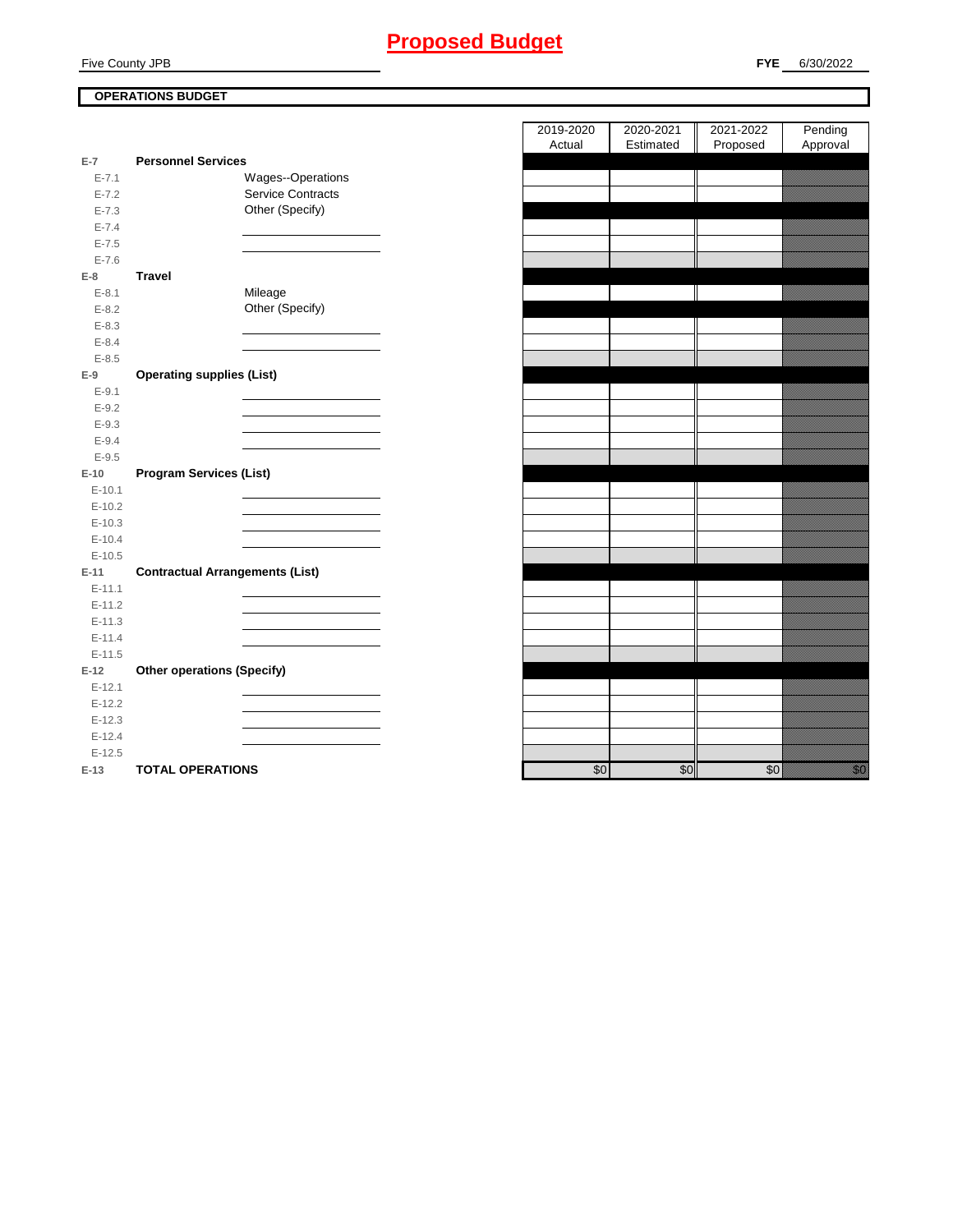## **FYE** 6/30/2022

## **OPERATIONS BUDGET**

|           |                                        | Actual | Estimated | Proposed | Approval                                                                                                                  |
|-----------|----------------------------------------|--------|-----------|----------|---------------------------------------------------------------------------------------------------------------------------|
| $E-7$     | <b>Personnel Services</b>              |        |           |          |                                                                                                                           |
| $E - 7.1$ | Wages--Operations                      |        |           |          |                                                                                                                           |
| $E - 7.2$ | Service Contracts                      |        |           |          |                                                                                                                           |
| $E - 7.3$ | Other (Specify)                        |        |           |          |                                                                                                                           |
| $E - 7.4$ |                                        |        |           |          |                                                                                                                           |
| $E - 7.5$ |                                        |        |           |          |                                                                                                                           |
| $E - 7.6$ |                                        |        |           |          |                                                                                                                           |
| $E-8$     | <b>Travel</b>                          |        |           |          |                                                                                                                           |
| $E - 8.1$ | Mileage                                |        |           |          |                                                                                                                           |
| $E - 8.2$ | Other (Specify)                        |        |           |          |                                                                                                                           |
| $E - 8.3$ |                                        |        |           |          |                                                                                                                           |
| $E - 8.4$ |                                        |        |           |          |                                                                                                                           |
| $E-8.5$   |                                        |        |           |          |                                                                                                                           |
| $E-9$     | <b>Operating supplies (List)</b>       |        |           |          |                                                                                                                           |
| $E - 9.1$ |                                        |        |           |          |                                                                                                                           |
| $E - 9.2$ |                                        |        |           |          |                                                                                                                           |
| $E - 9.3$ |                                        |        |           |          |                                                                                                                           |
| $E-9.4$   |                                        |        |           |          |                                                                                                                           |
| $E-9.5$   |                                        |        |           |          |                                                                                                                           |
| $E-10$    | <b>Program Services (List)</b>         |        |           |          |                                                                                                                           |
| $E-10.1$  |                                        |        |           |          |                                                                                                                           |
| $E-10.2$  |                                        |        |           |          |                                                                                                                           |
| $E-10.3$  |                                        |        |           |          |                                                                                                                           |
| $E-10.4$  |                                        |        |           |          |                                                                                                                           |
| $E-10.5$  |                                        |        |           |          |                                                                                                                           |
| $E-11$    | <b>Contractual Arrangements (List)</b> |        |           |          |                                                                                                                           |
| $E-11.1$  |                                        |        |           |          |                                                                                                                           |
| $E-11.2$  |                                        |        |           |          |                                                                                                                           |
| $E-11.3$  |                                        |        |           |          |                                                                                                                           |
| $E-11.4$  |                                        |        |           |          |                                                                                                                           |
| $E-11.5$  |                                        |        |           |          |                                                                                                                           |
| $E-12$    | <b>Other operations (Specify)</b>      |        |           |          |                                                                                                                           |
| $E-12.1$  |                                        |        |           |          |                                                                                                                           |
| $E-12.2$  |                                        |        |           |          |                                                                                                                           |
| $E-12.3$  |                                        |        |           |          |                                                                                                                           |
| $E-12.4$  |                                        |        |           |          |                                                                                                                           |
| $E-12.5$  |                                        |        |           |          |                                                                                                                           |
| $E-13$    | <b>TOTAL OPERATIONS</b>                | \$0    | \$0       | \$0      | en de la facta de la facta de la facta de la facta de la facta de la facta de la facta de la facta de la facta<br>Español |

| 2019-2020 | 2020-2021 | 2021-2022 | Pending              |
|-----------|-----------|-----------|----------------------|
| Actual    | Estimated | Proposed  | Approval             |
|           |           |           |                      |
|           |           |           |                      |
|           |           |           |                      |
|           |           |           |                      |
|           |           |           |                      |
|           |           |           |                      |
|           |           |           |                      |
|           |           |           |                      |
|           |           |           |                      |
|           |           |           |                      |
|           |           |           |                      |
|           |           |           |                      |
|           |           |           |                      |
|           |           |           |                      |
|           |           |           |                      |
|           |           |           |                      |
|           |           |           |                      |
|           |           |           |                      |
|           |           |           |                      |
|           |           |           |                      |
|           |           |           |                      |
|           |           |           |                      |
|           |           |           |                      |
|           |           |           |                      |
|           |           |           |                      |
|           |           |           |                      |
|           |           |           |                      |
|           |           |           |                      |
|           |           |           |                      |
|           |           |           |                      |
|           |           |           |                      |
|           |           |           |                      |
|           |           |           |                      |
|           |           |           |                      |
|           |           |           |                      |
|           |           |           |                      |
|           |           |           |                      |
|           |           |           |                      |
|           |           |           |                      |
| \$0       | \$0       | \$0       | en eller<br>Historia |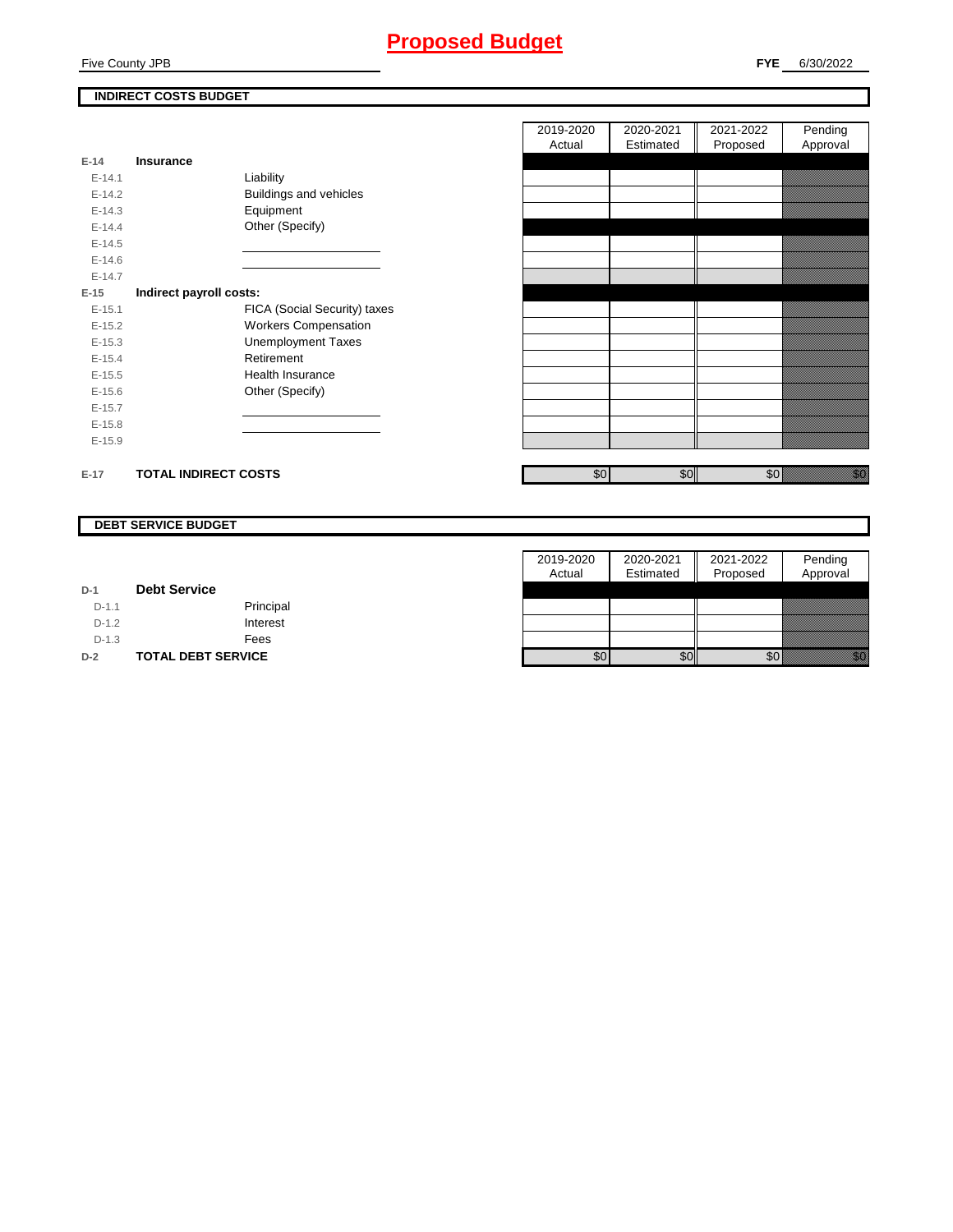## **Proposed Budget**

## **INDIRECT COSTS BUDGET**

| $E-14$     | <b>Insurance</b>            |                               |
|------------|-----------------------------|-------------------------------|
| $E - 14.1$ |                             | Liability                     |
| $E-14.2$   |                             | <b>Buildings and vehicles</b> |
| $E-14.3$   |                             | Equipment                     |
| $E-14.4$   |                             | Other (Specify)               |
| $E-14.5$   |                             |                               |
| $E - 14.6$ |                             |                               |
| $F-147$    |                             |                               |
| E-15       | Indirect payroll costs:     |                               |
| $E - 15.1$ |                             | FICA (Social Security) taxes  |
| $E-15.2$   |                             | <b>Workers Compensation</b>   |
| $E - 15.3$ |                             | <b>Unemployment Taxes</b>     |
| $E-15.4$   |                             | Retirement                    |
| $E-15.5$   |                             | <b>Health Insurance</b>       |
| $E - 15.6$ |                             | Other (Specify)               |
| $E-15.7$   |                             |                               |
| $E-15.8$   |                             |                               |
| $E-15.9$   |                             |                               |
|            |                             |                               |
| $E-17$     | <b>TOTAL INDIRECT COSTS</b> |                               |

| 2019-2020 | 2020-2021 | 2021-2022 | Pending  |
|-----------|-----------|-----------|----------|
| Actual    | Estimated | Proposed  | Approval |
|           |           |           |          |
|           |           |           |          |
|           |           |           |          |
|           |           |           |          |
|           |           |           |          |
|           |           |           |          |
|           |           |           |          |
|           |           |           |          |
|           |           |           |          |
|           |           |           |          |
|           |           |           |          |
|           |           |           |          |
|           |           |           |          |
|           |           |           |          |
|           |           |           |          |
|           |           |           |          |
|           |           |           |          |
|           |           |           |          |
|           |           |           |          |
| \$0       | \$0       | \$0       |          |
|           |           |           |          |

#### **DEBT SERVICE BUDGET**

|         |                           | 2019-2020        | 2020-2021 | 2021-2022 | Pending  |
|---------|---------------------------|------------------|-----------|-----------|----------|
|         |                           | Actual           | Estimated | Proposed  | Approval |
| $D-1$   | <b>Debt Service</b>       |                  |           |           |          |
| $D-1.1$ | Principal                 |                  |           |           |          |
| $D-1.2$ | Interest                  |                  |           |           |          |
| $D-1.3$ | Fees                      |                  |           |           |          |
| $D-2$   | <b>TOTAL DEBT SERVICE</b> | \$0 <sub>1</sub> | \$0       | \$0       | an dhe   |